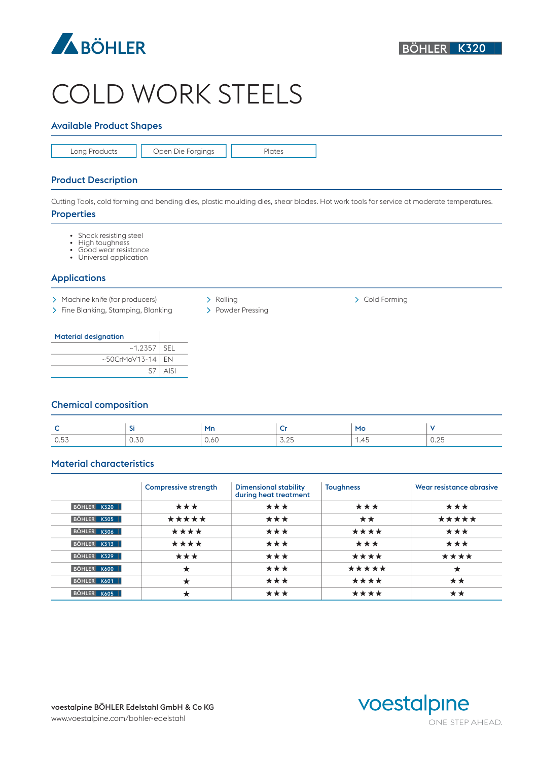

# COLD WORK STEELS

# Available Product Shapes

Long Products | | Open Die Forgings | | Plates

# Product Description

Cutting Tools, cold forming and bending dies, plastic moulding dies, shear blades. Hot work tools for service at moderate temperatures.

#### **Properties**

- Shock resisting steel<br>• High toughness
- High toughness
- Good wear resistance
- Universal application

### Applications

- > Machine knife (for producers)  $\longrightarrow$  Rolling  $\longrightarrow$  Cold Forming
- > Fine Blanking, Stamping, Blanking > Powder Pressing
- 

#### Material designation

| __                        |             |
|---------------------------|-------------|
| ~1.2357                   | ' SEL       |
| $~\sim$ 50CrMoV13-14   EN |             |
| S7                        | <b>AISI</b> |

### Chemical composition

|                                    | -             | ' Mn | ÷            | MO   |              |
|------------------------------------|---------------|------|--------------|------|--------------|
| $\wedge$ $\vdash$ $\vdash$<br>U.5. | $-70$<br>U.SU | 0.60 | 7.05<br>◡-∠◡ | 1.45 | 0.05<br>0.4J |

# Material characteristics

|             | <b>Compressive strength</b> | <b>Dimensional stability</b><br>during heat treatment | <b>Toughness</b> | Wear resistance abrasive |
|-------------|-----------------------------|-------------------------------------------------------|------------------|--------------------------|
| BÖHLER K320 | ***                         | ***                                                   | ***              | ***                      |
| BÖHLER K305 | *****                       | ***                                                   | **               | *****                    |
| BÖHLER K306 | ****                        | ***                                                   | ****             | ***                      |
| BÖHLER K313 | ****                        | ***                                                   | ***              | ***                      |
| BÖHLER K329 | ***                         | ***                                                   | ****             | ****                     |
| BÖHLER K600 | ★                           | ***                                                   | *****            | $\star$                  |
| BÖHLER K601 | ★                           | ***                                                   | ****             | **                       |
| BÖHLER K605 | $\star$                     | ***                                                   | ****             | **                       |